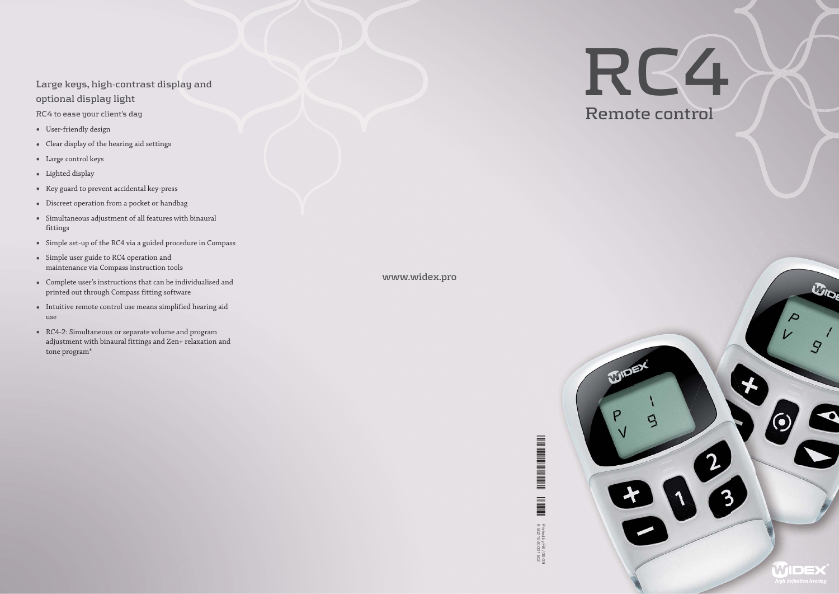# **Large keys, high-contrast display and optional display light**

**RC4 to ease your client's day**

**THE REAL PROPERTY OF A SET OF A SET OF A SET OF A SET OF A SET OF A SET OF A SET OF A SET OF A SET OF A SET O** Printed by FB / 06-09 1540 001 #02y Hold by FB / 06-09 1540 001 #02y HOLD and an approximated by FB / 06-09 to A Printed by FB / 06-09<br>9 502 1540 001 #02 9 502 1540 001 #02

- User-friendly design
- Clear display of the hearing aid settings
- Large control keys
- Lighted display
- Key guard to prevent accidental key-press
- Discreet operation from a pocket or handbag
- Simultaneous adjustment of all features with binaural fittings
- Simple set-up of the RC4 via a guided procedure in Compass
- Simple user guide to RC4 operation and maintenance via Compass instruction tools
- Complete user's instructions that can be individualised and printed out through Compass fitting software
- Intuitive remote control use means simplified hearing aid use
- RC4-2: Simultaneous or separate volume and program adjustment with binaural fittings and Zen+ relaxation and tone program\*

**www.widex.pro**

**WIDE** 





 $w_{\log}$